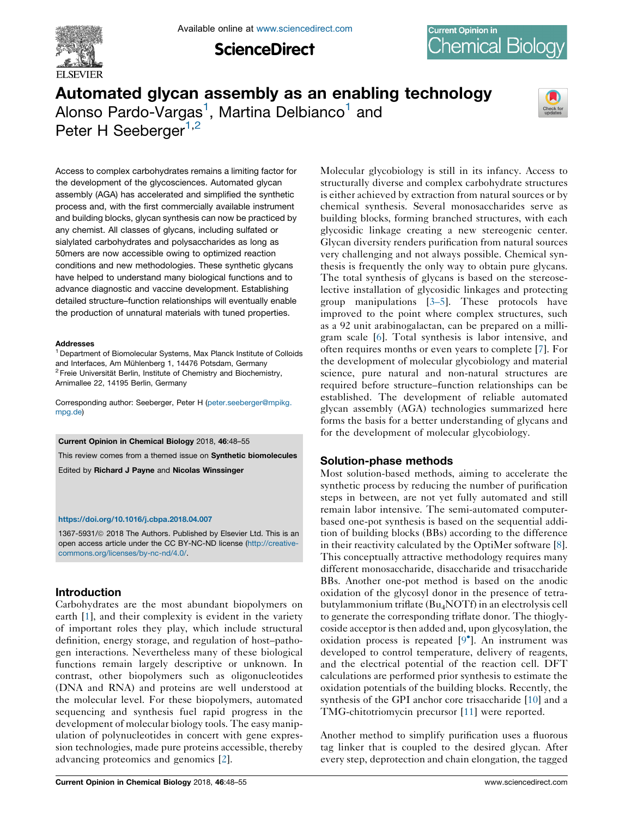

**ScienceDirect** 

# Automated glycan assembly as an enabling technology Alonso Pardo-Vargas<sup>1</sup>, Martina Delbianco<sup>1</sup> and Peter H Seeberger<sup>1,2</sup>



Access to complex carbohydrates remains a limiting factor for the development of the glycosciences. Automated glycan assembly (AGA) has accelerated and simplified the synthetic process and, with the first commercially available instrument and building blocks, glycan synthesis can now be practiced by any chemist. All classes of glycans, including sulfated or sialylated carbohydrates and polysaccharides as long as 50mers are now accessible owing to optimized reaction conditions and new methodologies. These synthetic glycans have helped to understand many biological functions and to advance diagnostic and vaccine development. Establishing detailed structure–function relationships will eventually enable the production of unnatural materials with tuned properties.

#### Addresses

<sup>1</sup> Department of Biomolecular Systems, Max Planck Institute of Colloids and Interfaces, Am Mühlenberg 1, 14476 Potsdam, Germany  $2$  Freie Universität Berlin, Institute of Chemistry and Biochemistry, Arnimallee 22, 14195 Berlin, Germany

Corresponding author: Seeberger, Peter H ([peter.seeberger@mpikg.](mailto:peter.seeberger@mpikg.mpg.de) [mpg.de\)](mailto:peter.seeberger@mpikg.mpg.de)

### Current Opinion in Chemical Biology 2018, 46:48–55

This review comes from a themed issue on Synthetic biomolecules Edited by Richard J Payne and Nicolas Winssinger

### [https://doi.org/10.1016/j.cbpa.2018.04.007](http://dx.doi.org/10.1016/j.cbpa.2018.04.007)

1367-5931/ã 2018 The Authors. Published by Elsevier Ltd. This is an open access article under the CC BY-NC-ND license [\(http://creative](http://creativecommons.org/licenses/by-nc-nd/4.0/)[commons.org/licenses/by-nc-nd/4.0/](http://creativecommons.org/licenses/by-nc-nd/4.0/).

# Introduction

Carbohydrates are the most abundant biopolymers on earth [\[1](#page-5-0)], and their complexity is evident in the variety of important roles they play, which include structural definition, energy storage, and regulation of host–pathogen interactions. Nevertheless many of these biological functions remain largely descriptive or unknown. In contrast, other biopolymers such as oligonucleotides (DNA and RNA) and proteins are well understood at the molecular level. For these biopolymers, automated sequencing and synthesis fuel rapid progress in the development of molecular biology tools. The easy manipulation of polynucleotides in concert with gene expression technologies, made pure proteins accessible, thereby advancing proteomics and genomics [\[2](#page-5-0)].

Current Opinion in Chemical Biology 2018, 46:48–55 www.sciencedirect.com

Molecular glycobiology is still in its infancy. Access to structurally diverse and complex carbohydrate structures is either achieved by extraction from natural sources or by chemical synthesis. Several monosaccharides serve as building blocks, forming branched structures, with each glycosidic linkage creating a new stereogenic center. Glycan diversity renders purification from natural sources very challenging and not always possible. Chemical synthesis is frequently the only way to obtain pure glycans. The total synthesis of glycans is based on the stereoselective installation of glycosidic linkages and protecting group manipulations [\[3–5](#page-5-0)]. These protocols have improved to the point where complex structures, such as a 92 unit arabinogalactan, can be prepared on a milligram scale [[6\]](#page-5-0). Total synthesis is labor intensive, and often requires months or even years to complete [[7\]](#page-5-0). For the development of molecular glycobiology and material science, pure natural and non-natural structures are required before structure–function relationships can be established. The development of reliable automated glycan assembly (AGA) technologies summarized here forms the basis for a better understanding of glycans and for the development of molecular glycobiology.

# Solution-phase methods

Most solution-based methods, aiming to accelerate the synthetic process by reducing the number of purification steps in between, are not yet fully automated and still remain labor intensive. The semi-automated computerbased one-pot synthesis is based on the sequential addition of building blocks (BBs) according to the difference in their reactivity calculated by the OptiMer software [[8](#page-5-0)]. This conceptually attractive methodology requires many different monosaccharide, disaccharide and trisaccharide BBs. Another one-pot method is based on the anodic oxidation of the glycosyl donor in the presence of tetrabutylammonium triflate (Bu4NOTf) in an electrolysis cell to generate the corresponding triflate donor. The thioglycoside acceptor is then added and, upon glycosylation, the oxidation process is repeated [9 ]. An [instrument](#page-5-0) was developed to control temperature, delivery of reagents, and the electrical potential of the reaction cell. DFT calculations are performed prior synthesis to estimate the oxidation potentials of the building blocks. Recently, the synthesis of the GPI anchor core trisaccharide [\[10](#page-5-0)] and a TMG-chitotriomycin precursor [\[11](#page-5-0)] were reported.

Another method to simplify purification uses a fluorous tag linker that is coupled to the desired glycan. After every step, deprotection and chain elongation, the tagged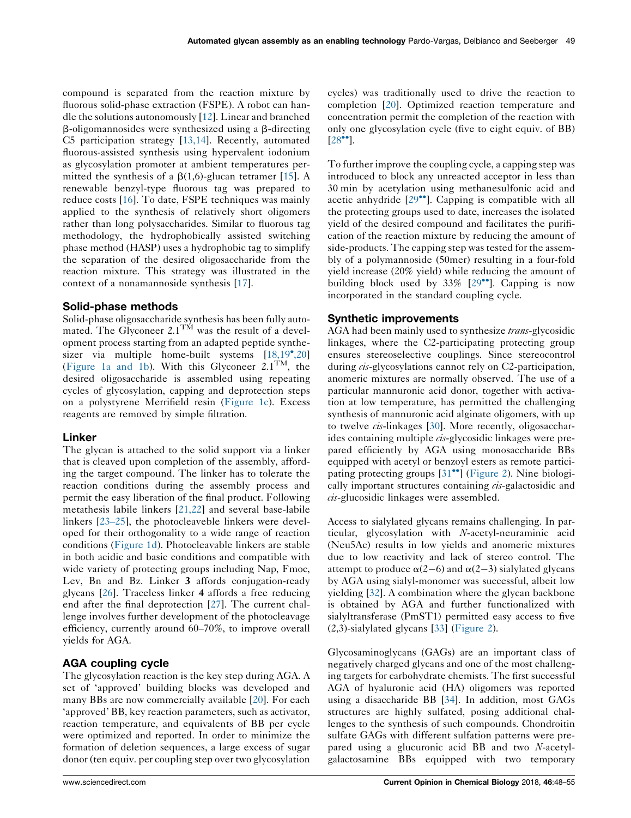compound is separated from the reaction mixture by fluorous solid-phase extraction (FSPE). A robot can handle the solutions autonomously [\[12](#page-5-0)]. Linear and branched b-oligomannosides were synthesized using a b-directing C5 participation strategy [[13,14](#page-5-0)]. Recently, automated fluorous-assisted synthesis using hypervalent iodonium as glycosylation promoter at ambient temperatures permitted the synthesis of a  $\beta(1,6)$ -glucan tetramer [\[15](#page-5-0)]. A renewable benzyl-type fluorous tag was prepared to reduce costs [\[16](#page-5-0)]. To date, FSPE techniques was mainly applied to the synthesis of relatively short oligomers rather than long polysaccharides. Similar to fluorous tag methodology, the hydrophobically assisted switching phase method (HASP) uses a hydrophobic tag to simplify the separation of the desired oligosaccharide from the reaction mixture. This strategy was illustrated in the context of a nonamannoside synthesis [\[17](#page-5-0)].

### Solid-phase methods

Solid-phase oligosaccharide synthesis has been fully automated. The Glyconeer 2.1<sup>TM</sup> was the result of a development process starting from an adapted peptide synthesizer via multiple home-built systems [\[18,19](#page-5-0) ,20] [\(Figure](#page-2-0) 1a and 1b). With this Glyconeer  $2.1<sup>TM</sup>$ , the desired oligosaccharide is assembled using repeating cycles of glycosylation, capping and deprotection steps on a polystyrene Merrifield resin ([Figure](#page-2-0) 1c). Excess reagents are removed by simple filtration.

# Linker

The glycan is attached to the solid support via a linker that is cleaved upon completion of the assembly, affording the target compound. The linker has to tolerate the reaction conditions during the assembly process and permit the easy liberation of the final product. Following metathesis labile linkers [\[21,22\]](#page-5-0) and several base-labile linkers [[23–25\]](#page-6-0), the photocleaveble linkers were developed for their orthogonality to a wide range of reaction conditions ([Figure](#page-2-0) 1d). Photocleavable linkers are stable in both acidic and basic conditions and compatible with wide variety of protecting groups including Nap, Fmoc, Lev, Bn and Bz. Linker 3 affords conjugation-ready glycans [\[26](#page-6-0)]. Traceless linker 4 affords a free reducing end after the final deprotection [[27\]](#page-6-0). The current challenge involves further development of the photocleavage efficiency, currently around 60–70%, to improve overall yields for AGA.

# AGA coupling cycle

The glycosylation reaction is the key step during AGA. A set of 'approved' building blocks was developed and many BBs are now commercially available [[20\]](#page-5-0). For each 'approved' BB, key reaction parameters, such as activator, reaction temperature, and equivalents of BB per cycle were optimized and reported. In order to minimize the formation of deletion sequences, a large excess of sugar donor (ten equiv. per coupling step over two glycosylation cycles) was traditionally used to drive the reaction to completion [[20](#page-5-0)]. Optimized reaction temperature and concentration permit the completion of the reaction with only one glycosylation cycle (five to eight equiv. of BB)  $[28$  $[28$ <sup>...</sup>].

To further improve the coupling cycle, a capping step was introduced to block any unreacted acceptor in less than 30 min by acetylation using methanesulfonic acid and acetic anhydride  $[29^{\bullet\bullet}]$ . Capping is [compatible](#page-6-0) with all the protecting groups used to date, increases the isolated yield of the desired compound and facilitates the purification of the reaction mixture by reducing the amount of side-products. The capping step was tested for the assembly of a polymannoside (50mer) resulting in a four-fold yield increase (20% yield) while reducing the amount of building block used by  $33\%$  [29<sup>••</sup>]. [Capping](#page-6-0) is now incorporated in the standard coupling cycle.

### Synthetic improvements

AGA had been mainly used to synthesize trans-glycosidic linkages, where the C2-participating protecting group ensures stereoselective couplings. Since stereocontrol during *cis*-glycosylations cannot rely on C2-participation, anomeric mixtures are normally observed. The use of a particular mannuronic acid donor, together with activation at low temperature, has permitted the challenging synthesis of mannuronic acid alginate oligomers, with up to twelve *cis*-linkages [\[30](#page-6-0)]. More recently, oligosaccharides containing multiple *cis*-glycosidic linkages were prepared efficiently by AGA using monosaccharide BBs equipped with acetyl or benzoyl esters as remote participating protecting groups  $[31\bullet]$  $[31\bullet]$  $[31\bullet]$  [\(Figure](#page-3-0) 2). Nine biologically important structures containing *cis*-galactosidic and cis-glucosidic linkages were assembled.

Access to sialylated glycans remains challenging. In particular, glycosylation with N-acetyl-neuraminic acid (Neu5Ac) results in low yields and anomeric mixtures due to low reactivity and lack of stereo control. The attempt to produce  $\alpha(2-6)$  and  $\alpha(2-3)$  sialylated glycans by AGA using sialyl-monomer was successful, albeit low yielding [[32\]](#page-6-0). A combination where the glycan backbone is obtained by AGA and further functionalized with sialyltransferase (PmST1) permitted easy access to five (2,3)-sialylated glycans [[33\]](#page-6-0) ([Figure](#page-3-0) 2).

Glycosaminoglycans (GAGs) are an important class of negatively charged glycans and one of the most challenging targets for carbohydrate chemists. The first successful AGA of hyaluronic acid (HA) oligomers was reported using a disaccharide BB [[34\]](#page-6-0). In addition, most GAGs structures are highly sulfated, posing additional challenges to the synthesis of such compounds. Chondroitin sulfate GAGs with different sulfation patterns were prepared using a glucuronic acid BB and two N-acetylgalactosamine BBs equipped with two temporary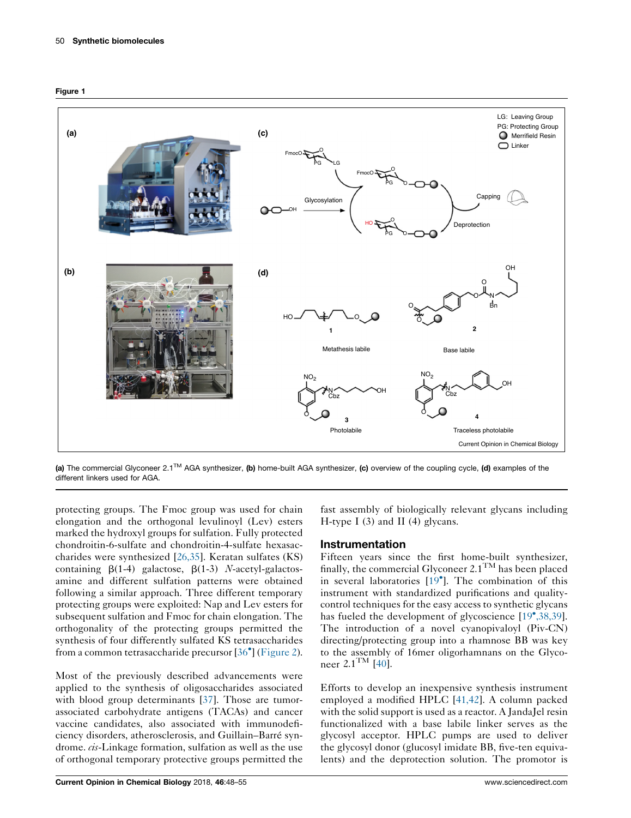<span id="page-2-0"></span>



(a) The commercial Glyconeer 2.1<sup>TM</sup> AGA synthesizer, (b) home-built AGA synthesizer, (c) overview of the coupling cycle, (d) examples of the different linkers used for AGA.

protecting groups. The Fmoc group was used for chain elongation and the orthogonal levulinoyl (Lev) esters marked the hydroxyl groups for sulfation. Fully protected chondroitin-6-sulfate and chondroitin-4-sulfate hexasaccharides were synthesized [[26,35](#page-6-0)]. Keratan sulfates (KS) containing  $\beta(1-4)$  galactose,  $\beta(1-3)$  N-acetyl-galactosamine and different sulfation patterns were obtained following a similar approach. Three different temporary protecting groups were exploited: Nap and Lev esters for subsequent sulfation and Fmoc for chain elongation. The orthogonality of the protecting groups permitted the synthesis of four differently sulfated KS tetrasaccharides from a common tetrasaccharide precursor [[36](#page-6-0) ] ([Figure](#page-3-0) 2).

Most of the previously described advancements were applied to the synthesis of oligosaccharides associated with blood group determinants [[37\]](#page-6-0). Those are tumorassociated carbohydrate antigens (TACAs) and cancer vaccine candidates, also associated with immunodeficiency disorders, atherosclerosis, and Guillain–Barré syndrome. cis-Linkage formation, sulfation as well as the use of orthogonal temporary protective groups permitted the fast assembly of biologically relevant glycans including H-type I (3) and II (4) glycans.

# Instrumentation

Fifteen years since the first home-built synthesizer, finally, the commercial Glyconeer 2.1TM has been placed in several laboratories [19 ]. The [combination](#page-5-0) of this instrument with standardized purifications and qualitycontrol techniques for the easy access to synthetic glycans has fueled the development of glycoscience [19<sup>•</sup>[,38,39](#page-5-0)]. The introduction of a novel cyanopivaloyl (Piv-CN) directing/protecting group into a rhamnose BB was key to the assembly of 16mer oligorhamnans on the Glyconeer  $2.1^{TM}$  [\[40](#page-6-0)].

Efforts to develop an inexpensive synthesis instrument employed a modified HPLC [[41,42](#page-6-0)]. A column packed with the solid support is used as a reactor. A JandaJel resin functionalized with a base labile linker serves as the glycosyl acceptor. HPLC pumps are used to deliver the glycosyl donor (glucosyl imidate BB, five-ten equivalents) and the deprotection solution. The promotor is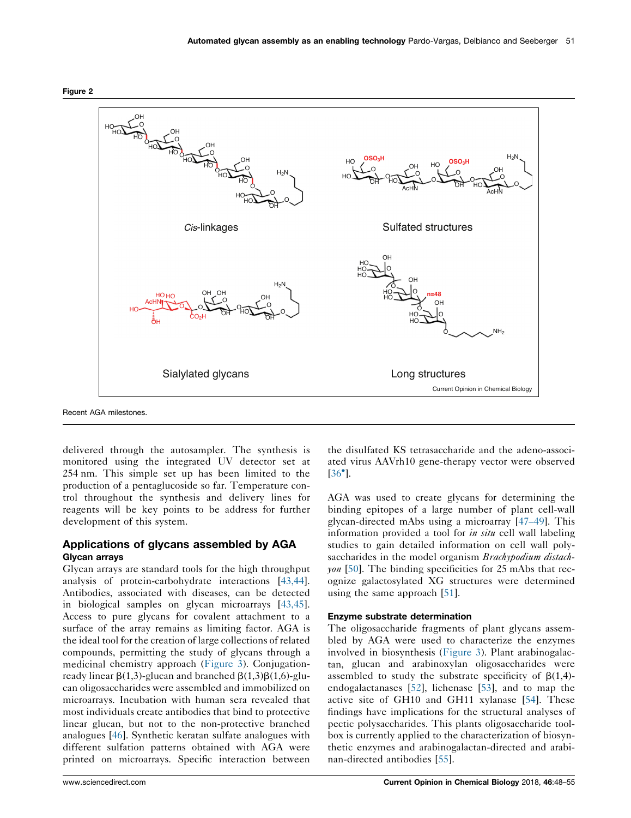

<span id="page-3-0"></span>Figure 2

Recent AGA milestones.

delivered through the autosampler. The synthesis is monitored using the integrated UV detector set at 254 nm. This simple set up has been limited to the production of a pentaglucoside so far. Temperature control throughout the synthesis and delivery lines for reagents will be key points to be address for further development of this system.

# Applications of glycans assembled by AGA Glycan arrays

Glycan arrays are standard tools for the high throughput analysis of protein-carbohydrate interactions [[43,44](#page-6-0)]. Antibodies, associated with diseases, can be detected in biological samples on glycan microarrays [[43,45](#page-6-0)]. Access to pure glycans for covalent attachment to a surface of the array remains as limiting factor. AGA is the ideal tool for the creation of large collections of related compounds, permitting the study of glycans through a medicinal chemistry approach [\(Figure](#page-4-0) 3). Conjugationready linear  $\beta(1,3)$ -glucan and branched  $\beta(1,3)\beta(1,6)$ -glucan oligosaccharides were assembled and immobilized on microarrays. Incubation with human sera revealed that most individuals create antibodies that bind to protective linear glucan, but not to the non-protective branched analogues [[46\]](#page-6-0). Synthetic keratan sulfate analogues with different sulfation patterns obtained with AGA were printed on microarrays. Specific interaction between

the disulfated KS tetrasaccharide and the adeno-associated virus AAVrh10 gene-therapy vector were observed [[36](#page-6-0)<sup>•</sup>].

AGA was used to create glycans for determining the binding epitopes of a large number of plant cell-wall glycan-directed mAbs using a microarray [[47–49\]](#page-6-0). This information provided a tool for *in situ* cell wall labeling studies to gain detailed information on cell wall polysaccharides in the model organism Brachypodium distach-yon [\[50](#page-6-0)]. The binding specificities for 25 mAbs that recognize galactosylated XG structures were determined using the same approach [\[51](#page-6-0)].

### Enzyme substrate determination

The oligosaccharide fragments of plant glycans assembled by AGA were used to characterize the enzymes involved in biosynthesis ([Figure](#page-4-0) 3). Plant arabinogalactan, glucan and arabinoxylan oligosaccharides were assembled to study the substrate specificity of  $\beta(1,4)$ endogalactanases [\[52](#page-6-0)], lichenase [\[53](#page-6-0)], and to map the active site of GH10 and GH11 xylanase [\[54](#page-6-0)]. These findings have implications for the structural analyses of pectic polysaccharides. This plants oligosaccharide toolbox is currently applied to the characterization of biosynthetic enzymes and arabinogalactan-directed and arabinan-directed antibodies [[55\]](#page-6-0).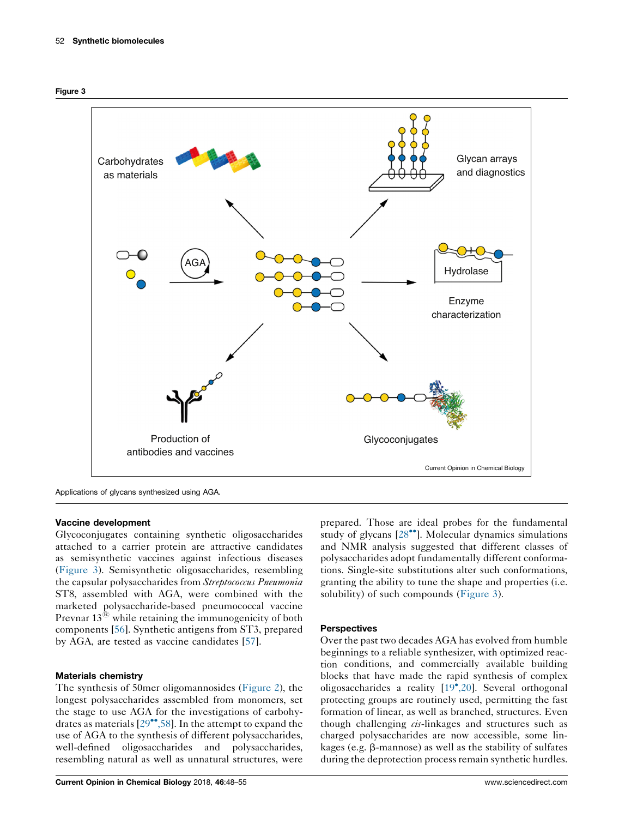<span id="page-4-0"></span>



Applications of glycans synthesized using AGA.

#### Vaccine development

Glycoconjugates containing synthetic oligosaccharides attached to a carrier protein are attractive candidates as semisynthetic vaccines against infectious diseases (Figure 3). Semisynthetic oligosaccharides, resembling the capsular polysaccharides from Streptococcus Pneumonia ST8, assembled with AGA, were combined with the marketed polysaccharide-based pneumococcal vaccine Prevnar  $13^{\circledR}$  while retaining the immunogenicity of both components [\[56](#page-7-0)]. Synthetic antigens from ST3, prepared by AGA, are tested as vaccine candidates [\[57](#page-7-0)].

#### Materials chemistry

The synthesis of 50mer oligomannosides ([Figure](#page-3-0) 2), the longest polysaccharides assembled from monomers, set the stage to use AGA for the investigations of carbohydrates as materials  $[29\text{''}, 58]$ . In the attempt to expand the use of AGA to the synthesis of different polysaccharides, well-defined oligosaccharides and polysaccharides, resembling natural as well as unnatural structures, were

prepared. Those are ideal probes for the fundamental study of glycans  $[28\degree]$ . Molecular dynamics [simulations](#page-6-0) and NMR analysis suggested that different classes of polysaccharides adopt fundamentally different conformations. Single-site substitutions alter such conformations, granting the ability to tune the shape and properties (i.e. solubility) of such compounds (Figure 3).

#### **Perspectives**

Over the past two decades AGA has evolved from humble beginnings to a reliable synthesizer, with optimized reaction conditions, and commercially available building blocks that have made the rapid synthesis of complex oligosaccharides a reality [19 [,20\]](#page-5-0). Several orthogonal protecting groups are routinely used, permitting the fast formation of linear, as well as branched, structures. Even though challenging cis-linkages and structures such as charged polysaccharides are now accessible, some linkages (e.g.  $\beta$ -mannose) as well as the stability of sulfates during the deprotection process remain synthetic hurdles.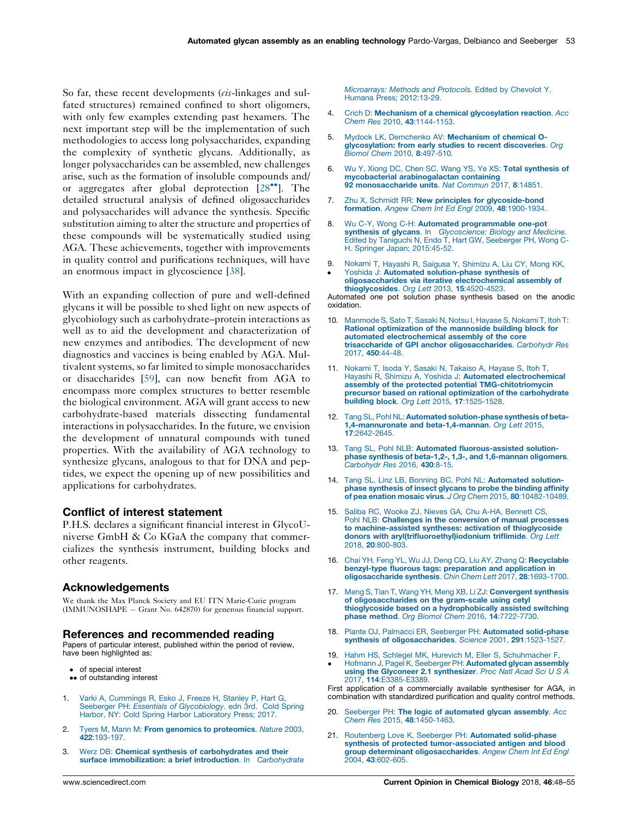<span id="page-5-0"></span>So far, these recent developments *(cis-linkages and sul*fated structures) remained confined to short oligomers, with only few examples extending past hexamers. The next important step will be the implementation of such methodologies to access long polysaccharides, expanding the complexity of synthetic glycans. Additionally, as longer polysaccharides can be assembled, new challenges arise, such as the formation of insoluble compounds and/ or aggregates after global deprotection  $[28\degree]$ . [The](#page-6-0) detailed structural analysis of defined oligosaccharides and polysaccharides will advance the synthesis. Specific substitution aiming to alter the structure and properties of these compounds will be systematically studied using AGA. These achievements, together with improvements in quality control and purifications techniques, will have an enormous impact in glycoscience [[38\]](#page-6-0).

With an expanding collection of pure and well-defined glycans it will be possible to shed light on new aspects of glycobiology such as carbohydrate–protein interactions as well as to aid the development and characterization of new enzymes and antibodies. The development of new diagnostics and vaccines is being enabled by AGA. Multivalent systems, so far limited to simple monosaccharides or disaccharides [[59\]](#page-7-0), can now benefit from AGA to encompass more complex structures to better resemble the biological environment. AGA will grant access to new carbohydrate-based materials dissecting fundamental interactions in polysaccharides. In the future, we envision the development of unnatural compounds with tuned properties. With the availability of AGA technology to synthesize glycans, analogous to that for DNA and peptides, we expect the opening up of new possibilities and applications for carbohydrates.

#### Conflict of interest statement

P.H.S. declares a significant financial interest in GlycoUniverse GmbH & Co KGaA the company that commercializes the synthesis instrument, building blocks and other reagents.

### Acknowledgements

We thank the Max Planck Society and EU ITN Marie-Curie program (IMMUNOSHAPE - Grant No. 642870) for generous financial support.

#### References and recommended reading

Papers of particular interest, published within the period of review, have been highlighted as:

- of special interest
- •• of outstanding interest
- 1. Varki A, [Cummings](http://refhub.elsevier.com/S1367-5931(17)30225-9/sbref0300) R, Esko J, Freeze H, Stanley P, Hart G, Seeberger PH: Essentials of [Glycobiology](http://refhub.elsevier.com/S1367-5931(17)30225-9/sbref0300). edn 3rd. Cold Spring Harbor, NY: Cold Spring Harbor [Laboratory](http://refhub.elsevier.com/S1367-5931(17)30225-9/sbref0300) Press; 2017.
- 2. Tyers M, Mann M: From genomics to [proteomics](http://refhub.elsevier.com/S1367-5931(17)30225-9/sbref0305). Nature 2003,<br>422[:193-197.](http://refhub.elsevier.com/S1367-5931(17)30225-9/sbref0305)
- 3. Werz DB: Chemical synthesis of [carbohydrates](http://refhub.elsevier.com/S1367-5931(17)30225-9/sbref0310) and their surface [immobilization:](http://refhub.elsevier.com/S1367-5931(17)30225-9/sbref0310) a brief introduction. In Carbohydrate

[Microarrays:](http://refhub.elsevier.com/S1367-5931(17)30225-9/sbref0310) Methods and Protocols. Edited by Chevolot Y. Humana Press; [2012:13-29.](http://refhub.elsevier.com/S1367-5931(17)30225-9/sbref0310)

- 4. Crich D: Mechanism of a chemical [glycosylation](http://refhub.elsevier.com/S1367-5931(17)30225-9/sbref0315) reaction. Acc Chem Res 2010, 43[:1144-1153.](http://refhub.elsevier.com/S1367-5931(17)30225-9/sbref0315)
- 5. Mydock LK, Demchenko AV: [Mechanism](http://refhub.elsevier.com/S1367-5931(17)30225-9/sbref0320) of chemical O[glycosylation:](http://refhub.elsevier.com/S1367-5931(17)30225-9/sbref0320) from early studies to recent discoveries. Org Biomol Chem 2010, 8[:497-510.](http://refhub.elsevier.com/S1367-5931(17)30225-9/sbref0320)
- 6. Wu Y, Xiong DC, Chen SC, Wang YS, Ye XS: Total [synthesis](http://refhub.elsevier.com/S1367-5931(17)30225-9/sbref0325) of mycobacterial [arabinogalactan](http://refhub.elsevier.com/S1367-5931(17)30225-9/sbref0325) containing 92 [monosaccharide](http://refhub.elsevier.com/S1367-5931(17)30225-9/sbref0325) units. Nat Commun 2017, 8:14851.
- 7. Zhu X, Schmidt RR: New principles for [glycoside-bond](http://refhub.elsevier.com/S1367-5931(17)30225-9/sbref0330) formation. Angew Chem Int Ed Engl 2009, 48[:1900-1934.](http://refhub.elsevier.com/S1367-5931(17)30225-9/sbref0330)
- 8. Wu C-Y, Wong C-H: Automated [programmable](http://refhub.elsevier.com/S1367-5931(17)30225-9/sbref0335) one-pot synthesis of glycans. In [Glycoscience:](http://refhub.elsevier.com/S1367-5931(17)30225-9/sbref0335) Biology and Medicine. Edited by Taniguchi N, Endo T, Hart GW, [Seeberger](http://refhub.elsevier.com/S1367-5931(17)30225-9/sbref0335) PH, Wong C-H. Springer Japan; [2015:45-52.](http://refhub.elsevier.com/S1367-5931(17)30225-9/sbref0335)
- 9. Nokami T, [Hayashi](http://refhub.elsevier.com/S1367-5931(17)30225-9/sbref0340) R, Saigusa Y, Shimizu A, Liu CY, Mong KK,
- Ĩ Yoshida J: Automated [solution-phase](http://refhub.elsevier.com/S1367-5931(17)30225-9/sbref0340) synthesis of [oligosaccharides](http://refhub.elsevier.com/S1367-5931(17)30225-9/sbref0340) via iterative electrochemical assembly of [thioglycosides](http://refhub.elsevier.com/S1367-5931(17)30225-9/sbref0340). Org Lett 2013, 15:4520-4523.

Automated one pot solution phase synthesis based on the anodic oxidation.

- 10. [Manmode](http://refhub.elsevier.com/S1367-5931(17)30225-9/sbref0345) S, Sato T, Sasaki N, Notsu I, Hayase S, Nokami T, Itoh T: Rational [optimization](http://refhub.elsevier.com/S1367-5931(17)30225-9/sbref0345) of the mannoside building block for automated [electrochemical](http://refhub.elsevier.com/S1367-5931(17)30225-9/sbref0345) assembly of the core trisaccharide of GPI anchor [oligosaccharides](http://refhub.elsevier.com/S1367-5931(17)30225-9/sbref0345). Carbohydr Res 2017, 450[:44-48.](http://refhub.elsevier.com/S1367-5931(17)30225-9/sbref0345)
- 11. Nokami T, Isoda Y, Sasaki N, [Takaiso](http://refhub.elsevier.com/S1367-5931(17)30225-9/sbref0350) A, Hayase S, Itoh T, Hayashi R, Shimizu A, Yoshida J: Automated [electrochemical](http://refhub.elsevier.com/S1367-5931(17)30225-9/sbref0350) assembly of the protected potential [TMG-chitotriomycin](http://refhub.elsevier.com/S1367-5931(17)30225-9/sbref0350) precursor based on rational optimization of the [carbohydrate](http://refhub.elsevier.com/S1367-5931(17)30225-9/sbref0350) building block. Org Lett 2015, 17[:1525-1528.](http://refhub.elsevier.com/S1367-5931(17)30225-9/sbref0350)
- 12. Tang SL, Pohl NL: Automated [solution-phase](http://refhub.elsevier.com/S1367-5931(17)30225-9/sbref0355) synthesis of beta-1,4-mannuronate and [beta-1,4-mannan](http://refhub.elsevier.com/S1367-5931(17)30225-9/sbref0355). Org Lett 2015, 17[:2642-2645.](http://refhub.elsevier.com/S1367-5931(17)30225-9/sbref0355)
- 13. Tang SL, Pohl NLB: Automated [fluorous-assisted](http://refhub.elsevier.com/S1367-5931(17)30225-9/sbref0360) solution-phase synthesis of beta-1,2-, 1,3-, and [1,6-mannan](http://refhub.elsevier.com/S1367-5931(17)30225-9/sbref0360) oligomers.<br>[Carbohydr](http://refhub.elsevier.com/S1367-5931(17)30225-9/sbref0360) Res 2016, 430:8-15.
- 14. Tang SL, Linz LB, Bonning BC, Pohl NL: [Automated](http://refhub.elsevier.com/S1367-5931(17)30225-9/sbref0365) solutionphase [synthesis](http://refhub.elsevier.com/S1367-5931(17)30225-9/sbref0365) of insect glycans to probe the binding affinity of pea enation mosaic virus. J Org Chem 2015, 80[:10482-10489.](http://refhub.elsevier.com/S1367-5931(17)30225-9/sbref0365)
- 15. Saliba RC, Wooke ZJ, Nieves GA, Chu A-HA, [Bennett](http://refhub.elsevier.com/S1367-5931(17)30225-9/sbref0370) CS, Pohl NLB: [Challenges](http://refhub.elsevier.com/S1367-5931(17)30225-9/sbref0370) in the conversion of manual processes to [machine-assisted](http://refhub.elsevier.com/S1367-5931(17)30225-9/sbref0370) syntheses: activation of thioglycoside donors with [aryl\(trifluoroethyl\)iodonium](http://refhub.elsevier.com/S1367-5931(17)30225-9/sbref0370) triflimide. Org Lett 2018, 20[:800-803.](http://refhub.elsevier.com/S1367-5931(17)30225-9/sbref0370)
- 16. Chai YH, Feng YL, Wu JJ, Deng CQ, Liu AY, Zhang Q: [Recyclable](http://refhub.elsevier.com/S1367-5931(17)30225-9/sbref0375) benzyl-type fluorous tags: [preparation](http://refhub.elsevier.com/S1367-5931(17)30225-9/sbref0375) and application in [oligosaccharide](http://refhub.elsevier.com/S1367-5931(17)30225-9/sbref0375) synthesis. Chin Chem Lett 2017, 28:1693-1700.
- 17. Meng S, Tian T, Wang YH, Meng XB, Li ZJ: [Convergent](http://refhub.elsevier.com/S1367-5931(17)30225-9/sbref0380) synthesis of [oligosaccharides](http://refhub.elsevier.com/S1367-5931(17)30225-9/sbref0380) on the gram-scale using cetyl thioglycoside based on a [hydrophobically](http://refhub.elsevier.com/S1367-5931(17)30225-9/sbref0380) assisted switching phase method. Org Biomol Chem 2016, 14[:7722-7730.](http://refhub.elsevier.com/S1367-5931(17)30225-9/sbref0380)
- 18. Plante OJ, Palmacci ER, Seeberger PH: Automated [solid-phase](http://refhub.elsevier.com/S1367-5931(17)30225-9/sbref0385) synthesis of [oligosaccharides](http://refhub.elsevier.com/S1367-5931(17)30225-9/sbref0385). Science 2001, 291:1523-1527.
- 19. Hahm HS, Schlegel MK, Hurevich M, Eller S, [Schuhmacher](http://refhub.elsevier.com/S1367-5931(17)30225-9/sbref0390) F,  $\cdot$ Hofmann J, Pagel K, Seeberger PH: [Automated](http://refhub.elsevier.com/S1367-5931(17)30225-9/sbref0390) glycan assembly using the Glyconeer 2.1 [synthesizer](http://refhub.elsevier.com/S1367-5931(17)30225-9/sbref0390). Proc Natl Acad Sci U S A 2017, 114[:E3385-E3389.](http://refhub.elsevier.com/S1367-5931(17)30225-9/sbref0390)

First application of a commercially available synthesiser for AGA, in combination with standardized purification and quality control methods.

- 20. Seeberger PH: The logic of [automated](http://refhub.elsevier.com/S1367-5931(17)30225-9/sbref0395) glycan assembly. Acc Chem Res 2015, 48[:1450-1463.](http://refhub.elsevier.com/S1367-5931(17)30225-9/sbref0395)
- 21. Routenberg Love K, Seeberger PH: Automated [solid-phase](http://refhub.elsevier.com/S1367-5931(17)30225-9/sbref0400) synthesis of protected [tumor-associated](http://refhub.elsevier.com/S1367-5931(17)30225-9/sbref0400) antigen and blood group determinant [oligosaccharides](http://refhub.elsevier.com/S1367-5931(17)30225-9/sbref0400). Angew Chem Int Ed Engl<br>2004, 43[:602-605.](http://refhub.elsevier.com/S1367-5931(17)30225-9/sbref0400)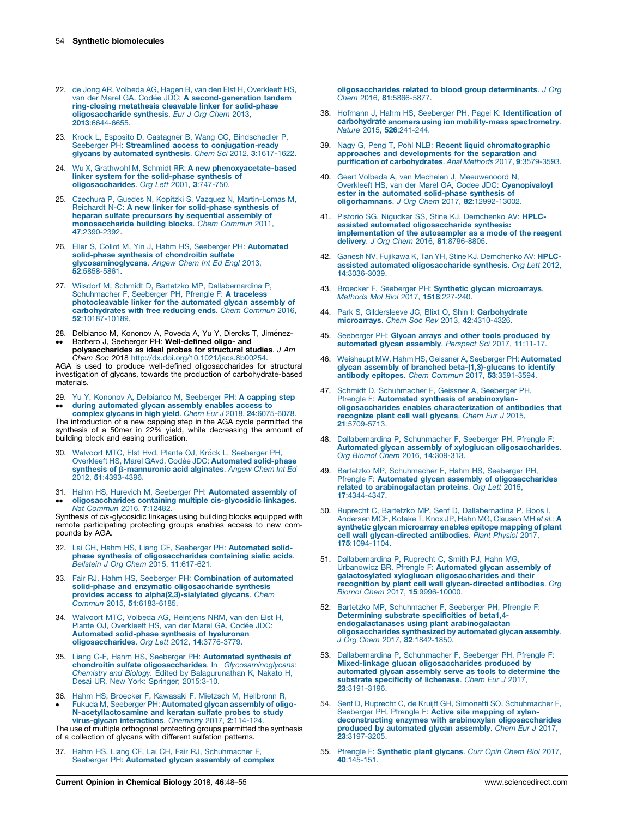- <span id="page-6-0"></span>22. de Jong AR, Volbeda AG, Hagen B, van den Elst H, [Overkleeft](http://refhub.elsevier.com/S1367-5931(17)30225-9/sbref0405) HS,<br>van der Marel GA, Codée JDC: **A [second-generation](http://refhub.elsevier.com/S1367-5931(17)30225-9/sbref0405) tandem** [ring-closing](http://refhub.elsevier.com/S1367-5931(17)30225-9/sbref0405) metathesis cleavable linker for solid-phase [oligosaccharide](http://refhub.elsevier.com/S1367-5931(17)30225-9/sbref0405) synthesis. Eur J Org Chem 2013, 2013[:6644-6655.](http://refhub.elsevier.com/S1367-5931(17)30225-9/sbref0405)
- 23. Krock L, Esposito D, Castagner B, Wang CC, [Bindschadler](http://refhub.elsevier.com/S1367-5931(17)30225-9/sbref0410) P,<br>Seeberger PH: Streamlined access to [conjugation-ready](http://refhub.elsevier.com/S1367-5931(17)30225-9/sbref0410)<br>glycans by automated synthesis. Chem Sci 2012, 3[:1617-1622.](http://refhub.elsevier.com/S1367-5931(17)30225-9/sbref0410)
- 24. Wu X, Grathwohl M, Schmidt RR: A new [phenoxyacetate-based](http://refhub.elsevier.com/S1367-5931(17)30225-9/sbref0415) linker system for the [solid-phase](http://refhub.elsevier.com/S1367-5931(17)30225-9/sbref0415) synthesis of [oligosaccharides](http://refhub.elsevier.com/S1367-5931(17)30225-9/sbref0415). Org Lett 2001, 3:747-750.
- 25. Czechura P, Guedes N, Kopitzki S, Vazquez N, [Martin-Lomas](http://refhub.elsevier.com/S1367-5931(17)30225-9/sbref0420) M, Reichardt N-C: A new linker for [solid-phase](http://refhub.elsevier.com/S1367-5931(17)30225-9/sbref0420) synthesis of heparan sulfate [precursors](http://refhub.elsevier.com/S1367-5931(17)30225-9/sbref0420) by sequential assembly of [monosaccharide](http://refhub.elsevier.com/S1367-5931(17)30225-9/sbref0420) building blocks. Chem Commun 2011, 47[:2390-2392.](http://refhub.elsevier.com/S1367-5931(17)30225-9/sbref0420)
- 26. Eller S, Collot M, Yin J, Hahm HS, Seeberger PH: [Automated](http://refhub.elsevier.com/S1367-5931(17)30225-9/sbref0425) [solid-phase](http://refhub.elsevier.com/S1367-5931(17)30225-9/sbref0425) synthesis of chondroitin sulfate [glycosaminoglycans](http://refhub.elsevier.com/S1367-5931(17)30225-9/sbref0425). Angew Chem Int Ed Engl 2013, 52[:5858-5861.](http://refhub.elsevier.com/S1367-5931(17)30225-9/sbref0425)
- 27. Wilsdorf M, Schmidt D, Bartetzko MP, [Dallabernardina](http://refhub.elsevier.com/S1367-5931(17)30225-9/sbref0430) P, [Schuhmacher](http://refhub.elsevier.com/S1367-5931(17)30225-9/sbref0430) F, Seeberger PH, Pfrengle F: A traceless [photocleavable](http://refhub.elsevier.com/S1367-5931(17)30225-9/sbref0430) linker for the automated glycan assembly of [carbohydrates](http://refhub.elsevier.com/S1367-5931(17)30225-9/sbref0430) with free reducing ends. Chem Commun 2016, 52[:10187-10189.](http://refhub.elsevier.com/S1367-5931(17)30225-9/sbref0430)
- 28. Delbianco M, Kononov A, Poveda A, Yu Y, Diercks T, Jiménez-<br>Barbero J, Seeberger PH: **Well-defined oligo- and**
- $\ddot{\phantom{0}}$ polysaccharides as ideal probes for structural studies. J Am Chem Soc 2018 <http://dx.doi.org/10.1021/jacs.8b00254>.

AGA is used to produce well-defined oligosaccharides for structural investigation of glycans, towards the production of carbohydrate-based materials.

29. Yu Y, Kononov A, Delbianco M, [Seeberger](http://refhub.elsevier.com/S1367-5931(17)30225-9/sbref0440) PH: A capping step  $\ddot{\phantom{0}}$ during [automated](http://refhub.elsevier.com/S1367-5931(17)30225-9/sbref0440) glycan assembly enables access to complex glycans in high yield. Chem Eur J 2018, 24[:6075-6078.](http://refhub.elsevier.com/S1367-5931(17)30225-9/sbref0440)

The introduction of a new capping step in the AGA cycle permitted the synthesis of a 50mer in 22% yield, while decreasing the amount of building block and easing purification.

- 30. Walvoort MTC, Elst Hvd, Plante OJ, Kröck L, [Seeberger](http://refhub.elsevier.com/S1367-5931(17)30225-9/sbref0445) PH, Overkleeft HS, Marel GAvd, Codée JDC: Automated [solid-phase](http://refhub.elsevier.com/S1367-5931(17)30225-9/sbref0445) synthesis of  $\beta$ [-mannuronic](http://refhub.elsevier.com/S1367-5931(17)30225-9/sbref0445) acid alginates. Angew Chem Int Ed 2012, 51[:4393-4396.](http://refhub.elsevier.com/S1367-5931(17)30225-9/sbref0445)
- 31. Hahm HS, Hurevich M, Seeberger PH: [Automated](http://refhub.elsevier.com/S1367-5931(17)30225-9/sbref0450) assembly of
- $\ddot{\phantom{0}}$ [oligosaccharides](http://refhub.elsevier.com/S1367-5931(17)30225-9/sbref0450) containing multiple cis-glycosidic linkages. Nat [Commun](http://refhub.elsevier.com/S1367-5931(17)30225-9/sbref0450) 2016, 7:12482.

Synthesis of cis-glycosidic linkages using building blocks equipped with remote participating protecting groups enables access to new compounds by AGA.

- 32. Lai CH, Hahm HS, Liang CF, Seeberger PH: [Automated](http://refhub.elsevier.com/S1367-5931(17)30225-9/sbref0455) solidphase synthesis of [oligosaccharides](http://refhub.elsevier.com/S1367-5931(17)30225-9/sbref0455) containing sialic acids. Beilstein J Org Chem 2015, 11[:617-621.](http://refhub.elsevier.com/S1367-5931(17)30225-9/sbref0455)
- 33. Fair RJ, Hahm HS, Seeberger PH: [Combination](http://refhub.elsevier.com/S1367-5931(17)30225-9/sbref0460) of automated solid-phase and enzymatic [oligosaccharide](http://refhub.elsevier.com/S1367-5931(17)30225-9/sbref0460) synthesis **provides access to [alpha\(2,3\)-sialylated](http://refhub.elsevier.com/S1367-5931(17)30225-9/sbref0460) glycans**. *Chem*<br>Commun 2015, **51**[:6183-6185.](http://refhub.elsevier.com/S1367-5931(17)30225-9/sbref0460)
- 34. Walvoort MTC, Volbeda AG, [Reintjens](http://refhub.elsevier.com/S1367-5931(17)30225-9/sbref0465) NRM, van den Elst H, Plante OJ, [Overkleeft](http://refhub.elsevier.com/S1367-5931(17)30225-9/sbref0465) HS, van der Marel GA, Codée JDC: Automated [solid-phase](http://refhub.elsevier.com/S1367-5931(17)30225-9/sbref0465) synthesis of hyaluronan [oligosaccharides](http://refhub.elsevier.com/S1367-5931(17)30225-9/sbref0465). Org Lett 2012, 14:3776-3779.
- 35. Liang C-F, Hahm HS, Seeberger PH: [Automated](http://refhub.elsevier.com/S1367-5931(17)30225-9/sbref0470) synthesis of chondroitin sulfate oligosaccharides. In [Glycosaminoglycans:](http://refhub.elsevier.com/S1367-5931(17)30225-9/sbref0470) Chemistry and Biology. Edited by [Balagurunathan](http://refhub.elsevier.com/S1367-5931(17)30225-9/sbref0470) K, Nakato H, Desai UR. New York: Springer; [2015:3-10](http://refhub.elsevier.com/S1367-5931(17)30225-9/sbref0470).
- 36. Hahm HS, Broecker F, Kawasaki F, Mietzsch M, [Heilbronn](http://refhub.elsevier.com/S1367-5931(17)30225-9/sbref0475) R,  $\bullet$ Fukuda M, Seeberger PH: [Automated](http://refhub.elsevier.com/S1367-5931(17)30225-9/sbref0475) glycan assembly of oligo-[N-acetyllactosamine](http://refhub.elsevier.com/S1367-5931(17)30225-9/sbref0475) and keratan sulfate probes to study [virus-glycan](http://refhub.elsevier.com/S1367-5931(17)30225-9/sbref0475) interactions. Chemistry 2017, 2:114-124

The use of multiple orthogonal protecting groups permitted the synthesis of a collection of glycans with different sulfation patterns.

37. Hahm HS, Liang CF, Lai CH, Fair RJ, [Schuhmacher](http://refhub.elsevier.com/S1367-5931(17)30225-9/sbref0480) F, Seeberger PH: [Automated](http://refhub.elsevier.com/S1367-5931(17)30225-9/sbref0480) glycan assembly of complex [oligosaccharides](http://refhub.elsevier.com/S1367-5931(17)30225-9/sbref0480) related to blood group determinants. J Org Chem 2016, 81:5866-5877

- 38. Hofmann J, Hahm HS, Seeberger PH, Pagel K: [Identification](http://refhub.elsevier.com/S1367-5931(17)30225-9/sbref0485) of carbohydrate anomers using ion [mobility-mass](http://refhub.elsevier.com/S1367-5931(17)30225-9/sbref0485) spectrometry. Nature 2015, 526[:241-244.](http://refhub.elsevier.com/S1367-5931(17)30225-9/sbref0485)
- 39. Nagy G, Peng T, Pohl NLB: Recent liquid [chromatographic](http://refhub.elsevier.com/S1367-5931(17)30225-9/sbref0490) approaches and [developments](http://refhub.elsevier.com/S1367-5931(17)30225-9/sbref0490) for the separation and purification of [carbohydrates](http://refhub.elsevier.com/S1367-5931(17)30225-9/sbref0490). Anal Methods 2017, 9:3579-3593.
- 40. Geert Volbeda A, van Mechelen J, [Meeuwenoord](http://refhub.elsevier.com/S1367-5931(17)30225-9/sbref0495) N, Overkleeft HS, van der Marel GA, Codee JDC: [Cyanopivaloyl](http://refhub.elsevier.com/S1367-5931(17)30225-9/sbref0495) ester in the automated [solid-phase](http://refhub.elsevier.com/S1367-5931(17)30225-9/sbref0495) synthesis of [oligorhamnans](http://refhub.elsevier.com/S1367-5931(17)30225-9/sbref0495). J Org Chem 2017, 82:12992-13002.
- 41. Pistorio SG, Nigudkar SS, Stine KJ, [Demchenko](http://refhub.elsevier.com/S1367-5931(17)30225-9/sbref0500) AV: HPLCassisted automated [oligosaccharide](http://refhub.elsevier.com/S1367-5931(17)30225-9/sbref0500) synthesis: [implementation](http://refhub.elsevier.com/S1367-5931(17)30225-9/sbref0500) of the autosampler as a mode of the reagent delivery. J Org Chem 2016, 81[:8796-8805.](http://refhub.elsevier.com/S1367-5931(17)30225-9/sbref0500)
- 42. Ganesh NV, Fujikawa K, Tan YH, Stine KJ, [Demchenko](http://refhub.elsevier.com/S1367-5931(17)30225-9/sbref0505) AV: HPLCassisted automated [oligosaccharide](http://refhub.elsevier.com/S1367-5931(17)30225-9/sbref0505) synthesis. Org Lett 2012, 14[:3036-3039.](http://refhub.elsevier.com/S1367-5931(17)30225-9/sbref0505)
- 43. Broecker F, Seeberger PH: Synthetic glycan [microarrays](http://refhub.elsevier.com/S1367-5931(17)30225-9/sbref0510). Methods Mol Biol 2017, 1518[:227-240.](http://refhub.elsevier.com/S1367-5931(17)30225-9/sbref0510)
- 44. Park S, Gildersleeve JC, Blixt O, Shin I: [Carbohydrate](http://refhub.elsevier.com/S1367-5931(17)30225-9/sbref0515) [microarrays](http://refhub.elsevier.com/S1367-5931(17)30225-9/sbref0515). Chem Soc Rev 2013, 42:4310-4326.
- 45. [Seeberger](http://refhub.elsevier.com/S1367-5931(17)30225-9/sbref0520) PH: Glycan arrays and other tools produced by [automated](http://refhub.elsevier.com/S1367-5931(17)30225-9/sbref0520) glycan assembly. Perspect Sci 2017, 11:11-17.
- 46. Weishaupt MW, Hahm HS, Geissner A, Seeberger PH: [Automated](http://refhub.elsevier.com/S1367-5931(17)30225-9/sbref0525) glycan assembly of branched [beta-\(1,3\)-glucans](http://refhub.elsevier.com/S1367-5931(17)30225-9/sbref0525) to identify antibody epitopes. Chem Commun 2017, 53[:3591-3594.](http://refhub.elsevier.com/S1367-5931(17)30225-9/sbref0525)
- 47. Schmidt D, [Schuhmacher](http://refhub.elsevier.com/S1367-5931(17)30225-9/sbref0530) F, Geissner A, Seeberger PH, Pfrengle F: Automated synthesis of [arabinoxylan](http://refhub.elsevier.com/S1367-5931(17)30225-9/sbref0530)[oligosaccharides](http://refhub.elsevier.com/S1367-5931(17)30225-9/sbref0530) enables characterization of antibodies that [recognize](http://refhub.elsevier.com/S1367-5931(17)30225-9/sbref0530) plant cell wall glycans. Chem Eur J 2015, 21[:5709-5713.](http://refhub.elsevier.com/S1367-5931(17)30225-9/sbref0530)
- 48. [Dallabernardina](http://refhub.elsevier.com/S1367-5931(17)30225-9/sbref0535) P, Schuhmacher F, Seeberger PH, Pfrengle F: Automated glycan assembly of xyloglucan [oligosaccharides](http://refhub.elsevier.com/S1367-5931(17)30225-9/sbref0535).<br>Org Biomol Chem 2016, 14[:309-313.](http://refhub.elsevier.com/S1367-5931(17)30225-9/sbref0535)
- 49. Bartetzko MP, [Schuhmacher](http://refhub.elsevier.com/S1367-5931(17)30225-9/sbref0540) F, Hahm HS, Seeberger PH, Pfrengle F: Automated glycan assembly of [oligosaccharides](http://refhub.elsevier.com/S1367-5931(17)30225-9/sbref0540) related to [arabinogalactan](http://refhub.elsevier.com/S1367-5931(17)30225-9/sbref0540) proteins. Org Lett 2015, 17[:4344-4347.](http://refhub.elsevier.com/S1367-5931(17)30225-9/sbref0540)
- 50. Ruprecht C, Bartetzko MP, Senf D, [Dallabernadina](http://refhub.elsevier.com/S1367-5931(17)30225-9/sbref0545) P, Boos I,<br>[Andersen](http://refhub.elsevier.com/S1367-5931(17)30225-9/sbref0545) MCF, Kotake T, Knox JP, Hahn MG, Clausen MH et al.: **A**<br>**synthetic glycan [microarray](http://refhub.elsevier.com/S1367-5931(17)30225-9/sbref0545) enables epitope mapping of plant** cell wall [glycan-directed](http://refhub.elsevier.com/S1367-5931(17)30225-9/sbref0545) antibodies. Plant Physiol 2017,<br>175[:1094-1104.](http://refhub.elsevier.com/S1367-5931(17)30225-9/sbref0545)
- 51. [Dallabernardina](http://refhub.elsevier.com/S1367-5931(17)30225-9/sbref0550) P, Ruprecht C, Smith PJ, Hahn MG, [Urbanowicz](http://refhub.elsevier.com/S1367-5931(17)30225-9/sbref0550) BR, Pfrengle F: Automated glycan assembly of galactosylated xyloglucan [oligosaccharides](http://refhub.elsevier.com/S1367-5931(17)30225-9/sbref0550) and their recognition by plant cell wall [glycan-directed](http://refhub.elsevier.com/S1367-5931(17)30225-9/sbref0550) antibodies. Org Biomol Chem 2017, 15[:9996-10000.](http://refhub.elsevier.com/S1367-5931(17)30225-9/sbref0550)
- 52. Bartetzko MP, [Schuhmacher](http://refhub.elsevier.com/S1367-5931(17)30225-9/sbref0555) F, Seeberger PH, Pfrengle F: [Determining](http://refhub.elsevier.com/S1367-5931(17)30225-9/sbref0555) substrate specificities of beta1,4 [endogalactanases](http://refhub.elsevier.com/S1367-5931(17)30225-9/sbref0555) using plant arabinogalactan [oligosaccharides](http://refhub.elsevier.com/S1367-5931(17)30225-9/sbref0555) synthesized by automated glycan assembly. J Org Chem 2017, 82[:1842-1850.](http://refhub.elsevier.com/S1367-5931(17)30225-9/sbref0555)
- 53. [Dallabernardina](http://refhub.elsevier.com/S1367-5931(17)30225-9/sbref0560) P, Schuhmacher F, Seeberger PH, Pfrengle F: Mixed-linkage glucan [oligosaccharides](http://refhub.elsevier.com/S1367-5931(17)30225-9/sbref0560) produced by [automated](http://refhub.elsevier.com/S1367-5931(17)30225-9/sbref0560) glycan assembly serve as tools to determine the substrate [specificity](http://refhub.elsevier.com/S1367-5931(17)30225-9/sbref0560) of lichenase. Chem Eur J 2017, 23[:3191-3196.](http://refhub.elsevier.com/S1367-5931(17)30225-9/sbref0560)
- 54. Senf D, Ruprecht C, de Kruijff GH, Simonetti SO, [Schuhmacher](http://refhub.elsevier.com/S1367-5931(17)30225-9/sbref0565) F, [Seeberger](http://refhub.elsevier.com/S1367-5931(17)30225-9/sbref0565) PH, Pfrengle F: Active site mapping of xylandeconstructing enzymes with arabinoxylan [oligosaccharides](http://refhub.elsevier.com/S1367-5931(17)30225-9/sbref0565) produced by [automated](http://refhub.elsevier.com/S1367-5931(17)30225-9/sbref0565) glycan assembly. Chem Eur J 2017, 23[:3197-3205.](http://refhub.elsevier.com/S1367-5931(17)30225-9/sbref0565)
- 55. Pfrengle F: [Synthetic](http://refhub.elsevier.com/S1367-5931(17)30225-9/sbref0570) plant glycans. Curr Opin Chem Biol 2017, 40[:145-151.](http://refhub.elsevier.com/S1367-5931(17)30225-9/sbref0570)